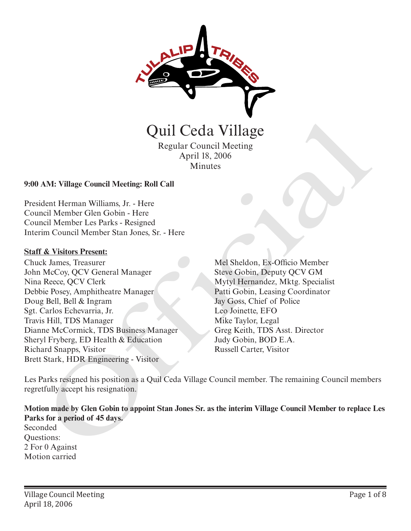

Regular Council Meeting April 18, 2006 Minutes

## **9:00 AM: Village Council Meeting: Roll Call**

President Herman Williams, Jr. - Here Council Member Glen Gobin - Here Council Member Les Parks - Resigned Interim Council Member Stan Jones, Sr. - Here

#### **Staff & Visitors Present:**

Chuck James, Treasurer John McCoy, QCV General Manager Nina Reece, QCV Clerk Debbie Posey, Amphitheatre Manager Doug Bell, Bell & Ingram Sgt. Carlos Echevarria, Jr. Travis Hill, TDS Manager Dianne McCormick, TDS Business Manager Sheryl Fryberg, ED Health & Education Richard Snapps, Visitor Brett Stark, HDR Engineering - Visitor

Mel Sheldon, Ex-Officio Member Steve Gobin, Deputy QCV GM Mytyl Hernandez, Mktg. Specialist Patti Gobin, Leasing Coordinator Jay Goss, Chief of Police Leo Joinette, EFO Mike Taylor, Legal Greg Keith, TDS Asst. Director Judy Gobin, BOD E.A.

Les Parks resigned his position as a Quil Ceda Village Council member. The remaining Council members regretfully accept his resignation.

**Motion made by Glen Gobin to appoint Stan Jones Sr. as the interim Village Council Member to replace Les Parks for a period of 45 days.** Seconded Questions: 2 For 0 Against Motion carried **Carter (1988)**<br>
Regular Council Meeting<br>
April 18, 2006<br>
AM: Village Council Meeting: Roll Call<br>
Acture (1988)<br>
AM: Village Council Meeting: Roll Call<br>
Acture Clen Gobin - Here<br>
In Council Member Stan Jones, Sr. - Here<br>
I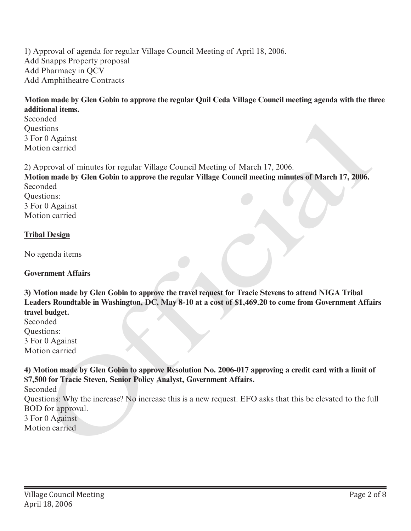1) Approval of agenda for regular Village Council Meeting of April 18, 2006. Add Snapps Property proposal Add Pharmacy in QCV Add Amphitheatre Contracts

# **Motion made by Glen Gobin to approve the regular Quil Ceda Village Council meeting agenda with the three additional items.**

Seconded **Questions** 3 For 0 Against Motion carried

2) Approval of minutes for regular Village Council Meeting of March 17, 2006.

**Motion made by Glen Gobin to approve the regular Village Council meeting minutes of March 17, 2006.** Seconded Questions: Seconded<br>
School Constant<br>
2) Approval of minutes for regular Village Council Meeting of March 17, 2006.<br>
2) Approval of minutes for regular Village Council Meeting of March 17, 2006.<br>
Motion made by Glen Gobin to approve

3 For 0 Against Motion carried

## **Tribal Design**

No agenda items

#### **Government Affairs**

**3) Motion made by Glen Gobin to approve the travel request for Tracie Stevens to attend NIGA Tribal Leaders Roundtable in Washington, DC, May 8-10 at a cost of \$1,469.20 to come from Government Affairs travel budget.**

Seconded Questions: 3 For 0 Against Motion carried

**4) Motion made by Glen Gobin to approve Resolution No. 2006-017 approving a credit card with a limit of \$7,500 for Tracie Steven, Senior Policy Analyst, Government Affairs.**

Seconded

Questions: Why the increase? No increase this is a new request. EFO asks that this be elevated to the full BOD for approval.

3 For 0 Against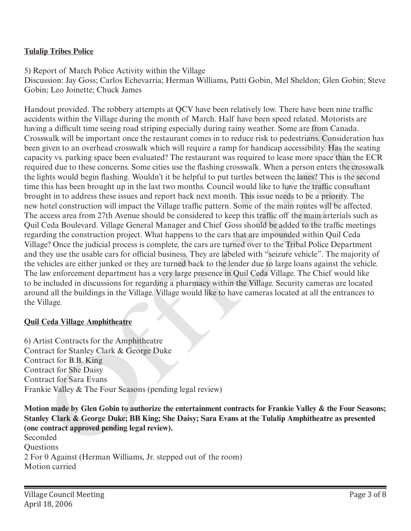# **Tulalip Tribes Police**

5) Report of March Police Activity within the Village

Discussion: Jay Goss; Carlos Echevarria; Herman Williams, Patti Gobin, Mel Sheldon; Glen Gobin; Steve Gobin; Leo Joinette; Chuck James

Handout provided. The robbery attempts at QCV have been relatively low. There have been nine traffic accidents within the Village during the month of March. Half have been speed related. Motorists are having a difficult time seeing road striping especially during rainy weather. Some are from Canada. Crosswalk will be important once the restaurant comes in to reduce risk to pedestrians. Consideration has been given to an overhead crosswalk which will require a ramp for handicap accessibility. Has the seating capacity vs. parking space been evaluated? The restaurant was required to lease more space than the ECR required due to these concerns. Some cities use the flashing crosswalk. When a person enters the crosswalk the lights would begin flashing. Wouldn't it be helpful to put turtles between the lanes? This is the second time this has been brought up in the last two months. Council would like to have the traffic consultant brought in to address these issues and report back next month. This issue needs to be a priority. The new hotel construction will impact the Village traffic pattern. Some of the main routes will be affected. The access area from 27th Avenue should be considered to keep this traffic off the main arterials such as Quil Ceda Boulevard. Village General Manager and Chief Goss should be added to the traffic meetings regarding the construction project. What happens to the cars that are impounded within Quil Ceda Village? Once the judicial process is complete, the cars are turned over to the Tribal Police Department and they use the usable cars for official business. They are labeled with "seizure vehicle". The majority of the vehicles are either junked or they are turned back to the lender due to large loans against the vehicle. The law enforcement department has a very large presence in Quil Ceda Village. The Chief would like to be included in discussions for regarding a pharmacy within the Village. Security cameras are located around all the buildings in the Village. Village would like to have cameras located at all the entrances to the Village. ients Writh the Vulgige during the month of March. Fair have been spear elected. Motofists are<br>gig at difficult time seeing rond striping especially during rainy osciets. Some arc from Canada.<br>Some like uil be important on

## **Quil Ceda Village Amphitheatre**

6) Artist Contracts for the Amphitheatre Contract for Stanley Clark & George Duke Contract for B.B. King Contract for She Daisy Contract for Sara Evans Frankie Valley & The Four Seasons (pending legal review)

**Motion made by Glen Gobin to authorize the entertainment contracts for Frankie Valley & the Four Seasons; Stanley Clark & George Duke; BB King; She Daisy; Sara Evans at the Tulalip Amphitheatre as presented (one contract approved pending legal review).**

Seconded **Ouestions** 2 For 0 Against (Herman Williams, Jr. stepped out of the room) Motion carried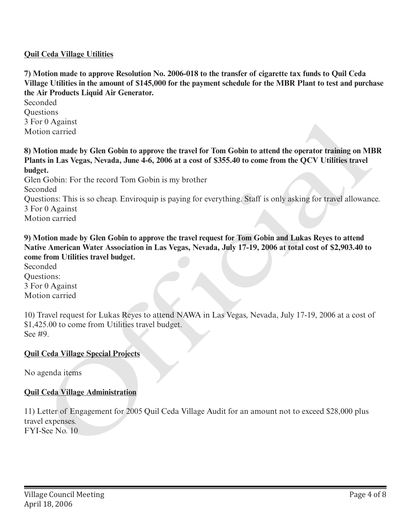## **Quil Ceda Village Utilities**

**7) Motion made to approve Resolution No. 2006-018 to the transfer of cigarette tax funds to Quil Ceda Village Utilities in the amount of \$145,000 for the payment schedule for the MBR Plant to test and purchase the Air Products Liquid Air Generator.**

Seconded Questions 3 For 0 Against Motion carried

**8) Motion made by Glen Gobin to approve the travel for Tom Gobin to attend the operator training on MBR Plants in Las Vegas, Nevada, June 4-6, 2006 at a cost of \$355.40 to come from the QCV Utilities travel budget.**

Glen Gobin: For the record Tom Gobin is my brother Seconded Questions: This is so cheap. Enviroquip is paying for everything. Staff is only asking for travel allowance. 3 For 0 Against Motion carried 3 For 0 Against<br>
Motion carried<br>
8) Motion made by Glen Gobin to approve the travel for Tom Gobin to attend the operator training on M<br>
8) Motion made by Glen Gobin to approve the travel for Tom Gobin to attend the operato

**9) Motion made by Glen Gobin to approve the travel request for Tom Gobin and Lukas Reyes to attend Native American Water Association in Las Vegas, Nevada, July 17-19, 2006 at total cost of \$2,903.40 to come from Utilities travel budget.** 

Seconded Questions: 3 For 0 Against Motion carried

10) Travel request for Lukas Reyes to attend NAWA in Las Vegas, Nevada, July 17-19, 2006 at a cost of \$1,425.00 to come from Utilities travel budget. See #9.

#### **Quil Ceda Village Special Projects**

No agenda items

#### **Quil Ceda Village Administration**

11) Letter of Engagement for 2005 Quil Ceda Village Audit for an amount not to exceed \$28,000 plus travel expenses.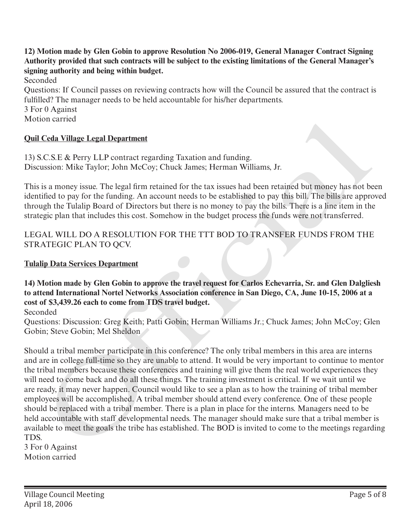**12) Motion made by Glen Gobin to approve Resolution No 2006-019, General Manager Contract Signing Authority provided that such contracts will be subject to the existing limitations of the General Manager's signing authority and being within budget.**

Seconded

Questions: If Council passes on reviewing contracts how will the Council be assured that the contract is fulfilled? The manager needs to be held accountable for his/her departments.

3 For 0 Against Motion carried

## **Quil Ceda Village Legal Department**

13) S.C.S.E & Perry LLP contract regarding Taxation and funding. Discussion: Mike Taylor; John McCoy; Chuck James; Herman Williams, Jr.

This is a money issue. The legal firm retained for the tax issues had been retained but money has not been identified to pay for the funding. An account needs to be established to pay this bill. The bills are approved through the Tulalip Board of Directors but there is no money to pay the bills. There is a line item in the strategic plan that includes this cost. Somehow in the budget process the funds were not transferred.

## LEGAL WILL DO A RESOLUTION FOR THE TTT BOD TO TRANSFER FUNDS FROM THE STRATEGIC PLAN TO QCV.

## **Tulalip Data Services Department**

**14) Motion made by Glen Gobin to approve the travel request for Carlos Echevarria, Sr. and Glen Dalgliesh to attend International Nortel Networks Association conference in San Diego, CA, June 10-15, 2006 at a cost of \$3,439.26 each to come from TDS travel budget.**

Seconded

Questions: Discussion: Greg Keith; Patti Gobin; Herman Williams Jr.; Chuck James; John McCoy; Glen Gobin; Steve Gobin; Mel Sheldon

Should a tribal member participate in this conference? The only tribal members in this area are interns and are in college full-time so they are unable to attend. It would be very important to continue to mentor the tribal members because these conferences and training will give them the real world experiences they will need to come back and do all these things. The training investment is critical. If we wait until we are ready, it may never happen. Council would like to see a plan as to how the training of tribal member employees will be accomplished. A tribal member should attend every conference. One of these people should be replaced with a tribal member. There is a plan in place for the interns. Managers need to be held accountable with staff developmental needs. The manager should make sure that a tribal member is available to meet the goals the tribe has established. The BOD is invited to come to the meetings regarding TDS. Ceda Village Legal Department<br>
C.C.S.H. & Perry L.L.P contract regarding Taxation and funding.<br>
C.C.S.H. & Perry L.L.P contract regarding Taxation and funding.<br>
11. S.S.H. & Perry L.L.P contract regarding Taxation and fund

3 For 0 Against Motion carried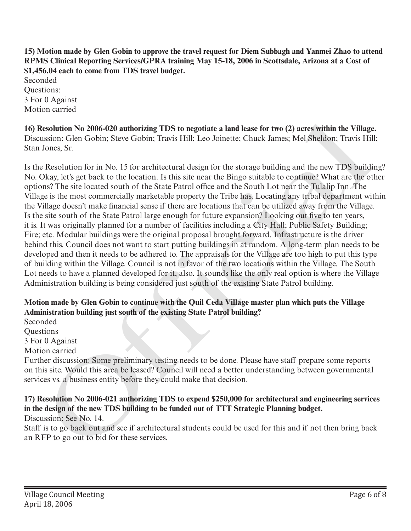**15) Motion made by Glen Gobin to approve the travel request for Diem Subbagh and Yanmei Zhao to attend RPMS Clinical Reporting Services/GPRA training May 15-18, 2006 in Scottsdale, Arizona at a Cost of \$1,456.04 each to come from TDS travel budget.** Seconded Questions: 3 For 0 Against Motion carried

**16) Resolution No 2006-020 authorizing TDS to negotiate a land lease for two (2) acres within the Village.** Discussion: Glen Gobin; Steve Gobin; Travis Hill; Leo Joinette; Chuck James; Mel Sheldon; Travis Hill; Stan Jones, Sr.

Is the Resolution for in No. 15 for architectural design for the storage building and the new TDS building? No. Okay, let's get back to the location. Is this site near the Bingo suitable to continue? What are the other options? The site located south of the State Patrol office and the South Lot near the Tulalip Inn. The Village is the most commercially marketable property the Tribe has. Locating any tribal department within the Village doesn't make financial sense if there are locations that can be utilized away from the Village. Is the site south of the State Patrol large enough for future expansion? Looking out five to ten years, it is. It was originally planned for a number of facilities including a City Hall; Public Safety Building; Fire; etc. Modular buildings were the original proposal brought forward. Infrastructure is the driver behind this. Council does not want to start putting buildings in at random. A long-term plan needs to be developed and then it needs to be adhered to. The appraisals for the Village are too high to put this type of building within the Village. Council is not in favor of the two locations within the Village. The South Lot needs to have a planned developed for it, also. It sounds like the only real option is where the Village Administration building is being considered just south of the existing State Patrol building. **16) Resolution No 2006-020 authorizing TDS to negotiate a land lease for two (2) acress within the Village<br>Discussion: Gien Gobin; Steve Gobin; Travis Hill; Leo Joinette; Chuck James; Mel Sheldon; Travis Hill<br>Stan Jones,** 

## **Motion made by Glen Gobin to continue with the Quil Ceda Village master plan which puts the Village Administration building just south of the existing State Patrol building?**

Seconded

Questions

3 For 0 Against

Motion carried

Further discussion: Some preliminary testing needs to be done. Please have staff prepare some reports on this site. Would this area be leased? Council will need a better understanding between governmental services vs. a business entity before they could make that decision.

# **17) Resolution No 2006-021 authorizing TDS to expend \$250,000 for architectural and engineering services in the design of the new TDS building to be funded out of TTT Strategic Planning budget.**

Discussion: See No. 14.

Staff is to go back out and see if architectural students could be used for this and if not then bring back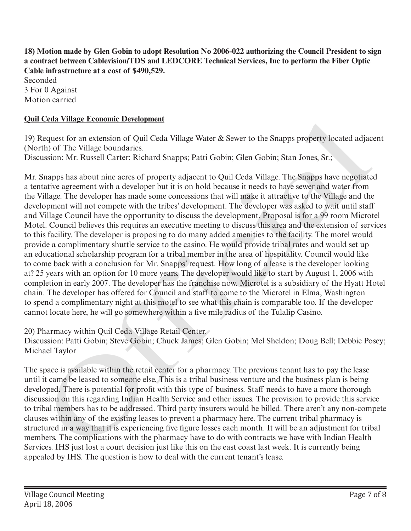**18) Motion made by Glen Gobin to adopt Resolution No 2006-022 authorizing the Council President to sign a contract between Cablevision/TDS and LEDCORE Technical Services, Inc to perform the Fiber Optic Cable infrastructure at a cost of \$490,529.**

Seconded 3 For 0 Against Motion carried

# **Quil Ceda Village Economic Development**

19) Request for an extension of Quil Ceda Village Water & Sewer to the Snapps property located adjacent (North) of The Village boundaries.

Discussion: Mr. Russell Carter; Richard Snapps; Patti Gobin; Glen Gobin; Stan Jones, Sr.;

Mr. Snapps has about nine acres of property adjacent to Quil Ceda Village. The Snapps have negotiated a tentative agreement with a developer but it is on hold because it needs to have sewer and water from the Village. The developer has made some concessions that will make it attractive to the Village and the development will not compete with the tribes' development. The developer was asked to wait until staff and Village Council have the opportunity to discuss the development. Proposal is for a 99 room Microtel Motel. Council believes this requires an executive meeting to discuss this area and the extension of services to this facility. The developer is proposing to do many added amenities to the facility. The motel would provide a complimentary shuttle service to the casino. He would provide tribal rates and would set up an educational scholarship program for a tribal member in the area of hospitality. Council would like to come back with a conclusion for Mr. Snapps' request. How long of a lease is the developer looking at? 25 years with an option for 10 more years. The developer would like to start by August 1, 2006 with completion in early 2007. The developer has the franchise now. Microtel is a subsidiary of the Hyatt Hotel chain. The developer has offered for Council and staff to come to the Microtel in Elma, Washington to spend a complimentary night at this motel to see what this chain is comparable too. If the developer cannot locate here, he will go somewhere within a five mile radius of the Tulalip Casino. Ceaa Village Economic Development<br>
Ceaa Village Water & Sewer to the Snapps property located adjace<br>
Request for an extension of Quil Ceda Village Water & Sewer to the Snapps property located adjace<br>
th) of The Village Sou

20) Pharmacy within Quil Ceda Village Retail Center.

Discussion: Patti Gobin; Steve Gobin; Chuck James; Glen Gobin; Mel Sheldon; Doug Bell; Debbie Posey; Michael Taylor

The space is available within the retail center for a pharmacy. The previous tenant has to pay the lease until it came be leased to someone else. This is a tribal business venture and the business plan is being developed. There is potential for profit with this type of business. Staff needs to have a more thorough discussion on this regarding Indian Health Service and other issues. The provision to provide this service to tribal members has to be addressed. Third party insurers would be billed. There aren't any non-compete clauses within any of the existing leases to prevent a pharmacy here. The current tribal pharmacy is structured in a way that it is experiencing five figure losses each month. It will be an adjustment for tribal members. The complications with the pharmacy have to do with contracts we have with Indian Health Services. IHS just lost a court decision just like this on the east coast last week. It is currently being appealed by IHS. The question is how to deal with the current tenant's lease.